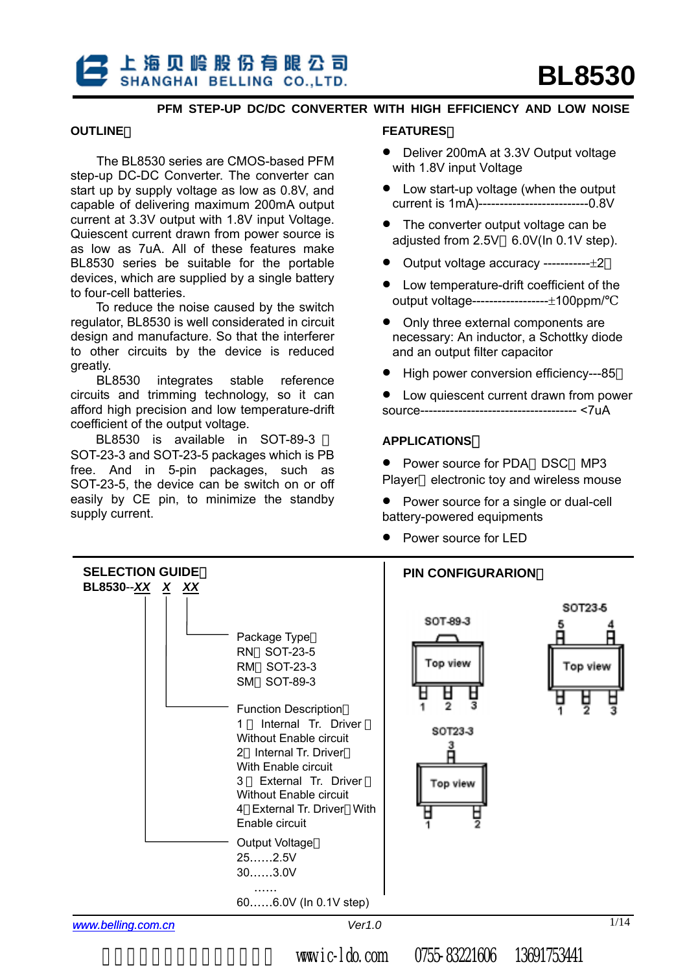#### **PFM STEP-UP DC/DC CONVERTER WITH HIGH EFFICIENCY AND LOW NOISE**

#### **OUTLINE**:

The BL8530 series are CMOS-based PFM step-up DC-DC Converter. The converter can start up by supply voltage as low as 0.8V, and capable of delivering maximum 200mA output current at 3.3V output with 1.8V input Voltage. Quiescent current drawn from power source is as low as 7uA. All of these features make BL8530 series be suitable for the portable devices, which are supplied by a single battery to four-cell batteries.

To reduce the noise caused by the switch regulator, BL8530 is well considerated in circuit design and manufacture. So that the interferer to other circuits by the device is reduced greatly.

BL8530 integrates stable reference circuits and trimming technology, so it can afford high precision and low temperature-drift coefficient of the output voltage.

 BL8530 is available in SOT-89-3 SOT-23-3 and SOT-23-5 packages which is PB free. And in 5-pin packages, such as SOT-23-5, the device can be switch on or off easily by CE pin, to minimize the standby supply current.

#### **FEATURES**:

- Deliver 200mA at 3.3V Output voltage with 1.8V input Voltage
- Low start-up voltage (when the output current is 1mA)--------------------------0.8V
- The converter output voltage can be adjusted from 2.5V 6.0V(In 0.1V step).
- Output voltage accuracy -------------+2
- Low temperature-drift coefficient of the output voltage------------------±100ppm/
- Only three external components are necessary: An inductor, a Schottky diode and an output filter capacitor
- High power conversion efficiency---85
- Low quiescent current drawn from power source------------------------------------- <7uA

#### **APPLICATIONS**:

- Power source for PDA DSC MP3 Player electronic toy and wireless mouse
- Power source for a single or dual-cell battery-powered equipments
- Power source for LED



*www.belling.com.cn Ver1.0* 1/14 *www.belling.com.cn*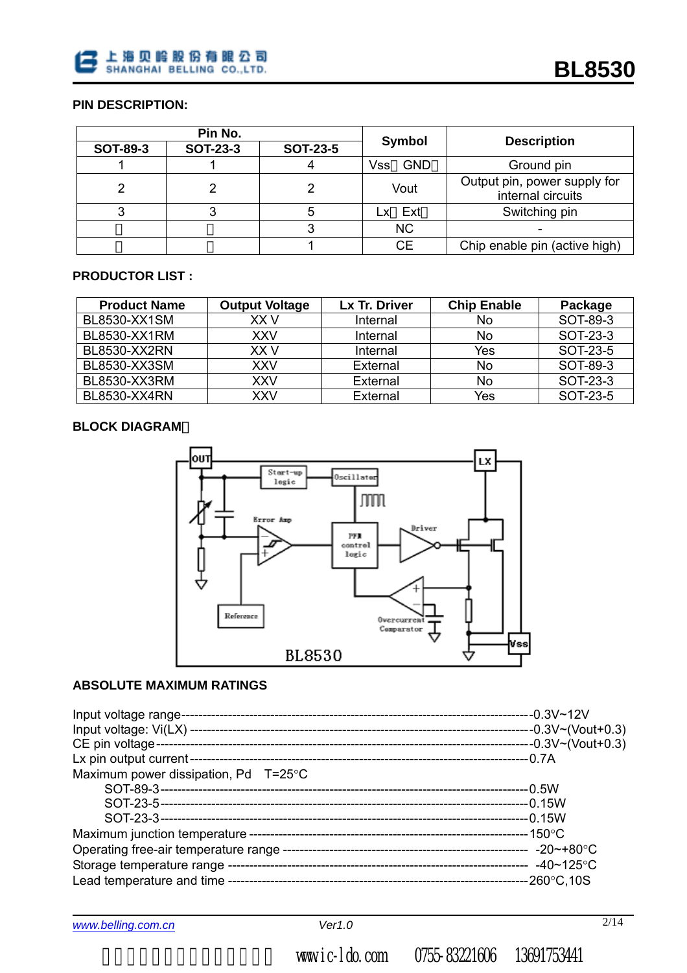#### **PIN DESCRIPTION:**

| Pin No.         |                 |                 |                          |                                                   |
|-----------------|-----------------|-----------------|--------------------------|---------------------------------------------------|
| <b>SOT-89-3</b> | <b>SOT-23-3</b> | <b>SOT-23-5</b> | <b>Symbol</b>            | <b>Description</b>                                |
|                 |                 |                 | <b>GND</b><br><b>Vss</b> | Ground pin                                        |
| 2               |                 |                 | Vout                     | Output pin, power supply for<br>internal circuits |
|                 |                 | 5               | Ext<br>.x                | Switching pin                                     |
|                 |                 |                 | <b>NC</b>                |                                                   |
|                 |                 |                 | <b>CE</b>                | Chip enable pin (active high)                     |

#### **PRODUCTOR LIST :**

| <b>Product Name</b> | <b>Output Voltage</b> | Lx Tr. Driver | <b>Chip Enable</b> | Package  |
|---------------------|-----------------------|---------------|--------------------|----------|
| BL8530-XX1SM        | XX V                  | Internal      | No                 | SOT-89-3 |
| BL8530-XX1RM        | <b>XXV</b>            | Internal      | No                 | SOT-23-3 |
| <b>BL8530-XX2RN</b> | XX V                  | Internal      | Yes                | SOT-23-5 |
| BL8530-XX3SM        | XXV                   | External      | No                 | SOT-89-3 |
| BL8530-XX3RM        | XXV                   | External      | No                 | SOT-23-3 |
| <b>BL8530-XX4RN</b> | XXV                   | External      | Yes                | SOT-23-5 |

#### **BLOCK DIAGRAM**:



#### **ABSOLUTE MAXIMUM RATINGS**

| Maximum power dissipation, Pd $T=25^{\circ}C$ |  |
|-----------------------------------------------|--|
|                                               |  |
|                                               |  |
|                                               |  |
|                                               |  |
|                                               |  |
|                                               |  |
|                                               |  |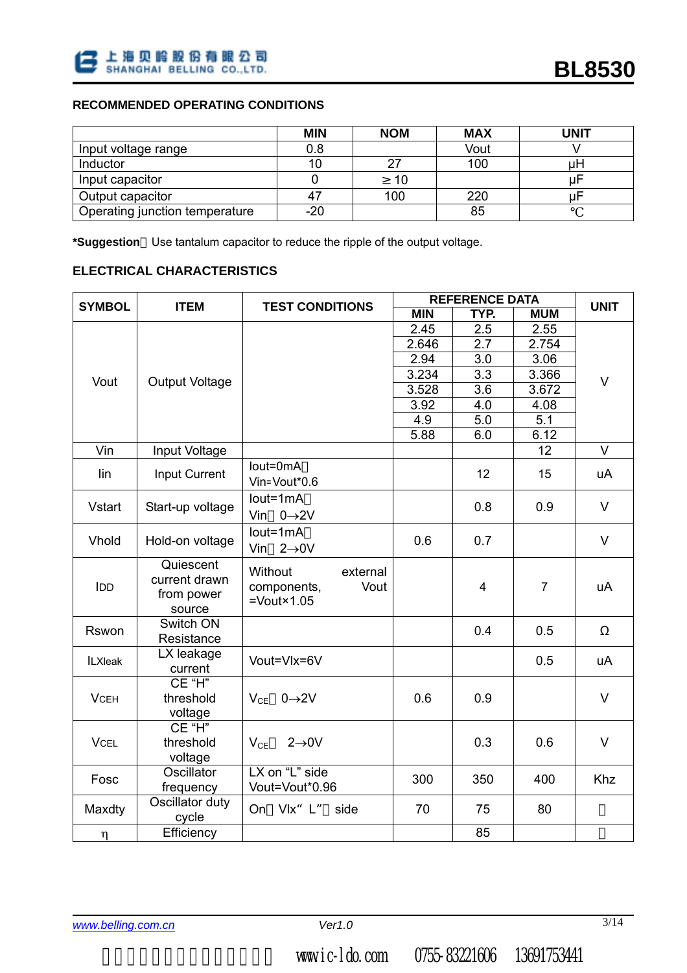

## **RECOMMENDED OPERATING CONDITIONS**

|                                | <b>MIN</b> | <b>NOM</b> | <b>MAX</b> | UNIT |
|--------------------------------|------------|------------|------------|------|
| Input voltage range            | 0.8        |            | Vout       |      |
| Inductor                       | 10         |            | 100        |      |
| Input capacitor                |            | 10         |            |      |
| Output capacitor               | 47         | 100        | 220        |      |
| Operating junction temperature | $-20$      |            | 85         |      |

**\*Suggestion** Use tantalum capacitor to reduce the ripple of the output voltage.

#### **ELECTRICAL CHARACTERISTICS**

| <b>SYMBOL</b>  | <b>ITEM</b>                                        | <b>TEST CONDITIONS</b>                                               | <b>REFERENCE DATA</b> |                |                | <b>UNIT</b> |
|----------------|----------------------------------------------------|----------------------------------------------------------------------|-----------------------|----------------|----------------|-------------|
|                |                                                    |                                                                      | <b>MIN</b>            | TYP.           | <b>MUM</b>     |             |
|                |                                                    |                                                                      | 2.45                  | 2.5            | 2.55           |             |
|                |                                                    |                                                                      | 2.646                 | 2.7            | 2.754          | $\vee$      |
|                |                                                    |                                                                      | 2.94                  | 3.0            | 3.06           |             |
| Vout           |                                                    |                                                                      | 3.234                 | 3.3            | 3.366          |             |
|                | <b>Output Voltage</b>                              |                                                                      | 3.528                 | 3.6            | 3.672          |             |
|                |                                                    |                                                                      | 3.92                  | 4.0            | 4.08           |             |
|                |                                                    |                                                                      | 4.9                   | 5.0            | 5.1            |             |
|                |                                                    |                                                                      | 5.88                  | 6.0            | 6.12           |             |
| Vin            | Input Voltage                                      |                                                                      |                       |                | 12             | V           |
| lin            | Input Current                                      | lout=0mA<br>Vin=Vout*0.6                                             |                       | 12             | 15             | uA          |
| <b>Vstart</b>  | Start-up voltage                                   | lout=1mA<br>Vin $0\rightarrow 2V$                                    |                       | 0.8            | 0.9            | $\vee$      |
| Vhold          | Hold-on voltage                                    | lout=1mA<br>$2\rightarrow 0V$<br>Vin                                 | 0.6                   | 0.7            |                | $\vee$      |
| <b>IDD</b>     | Quiescent<br>current drawn<br>from power<br>source | Without<br>external<br>Vout<br>components,<br>$=$ Vout $\times$ 1.05 |                       | $\overline{4}$ | $\overline{7}$ | <b>uA</b>   |
| Rswon          | Switch ON<br>Resistance                            |                                                                      |                       | 0.4            | 0.5            | Ω           |
| <b>ILXleak</b> | LX leakage<br>current                              | Vout=Vlx=6V                                                          |                       |                | 0.5            | uA          |
| <b>VCEH</b>    | CE "H"<br>threshold<br>voltage                     | $V_{CE}$ 0 $\rightarrow$ 2V                                          | 0.6                   | 0.9            |                | V           |
| <b>VCEL</b>    | CE "H"<br>threshold<br>voltage                     | $2\rightarrow 0V$<br>$V_{CE}$                                        |                       | 0.3            | 0.6            | $\vee$      |
| Fosc           | Oscillator<br>frequency                            | LX on "L" side<br>Vout=Vout*0.96                                     | 300                   | 350            | 400            | Khz         |
| Maxdty         | Oscillator duty<br>cycle                           | Vlx" L"<br>side<br><b>On</b>                                         | 70                    | 75             | 80             |             |
| $\eta$         | Efficiency                                         |                                                                      |                       | 85             |                |             |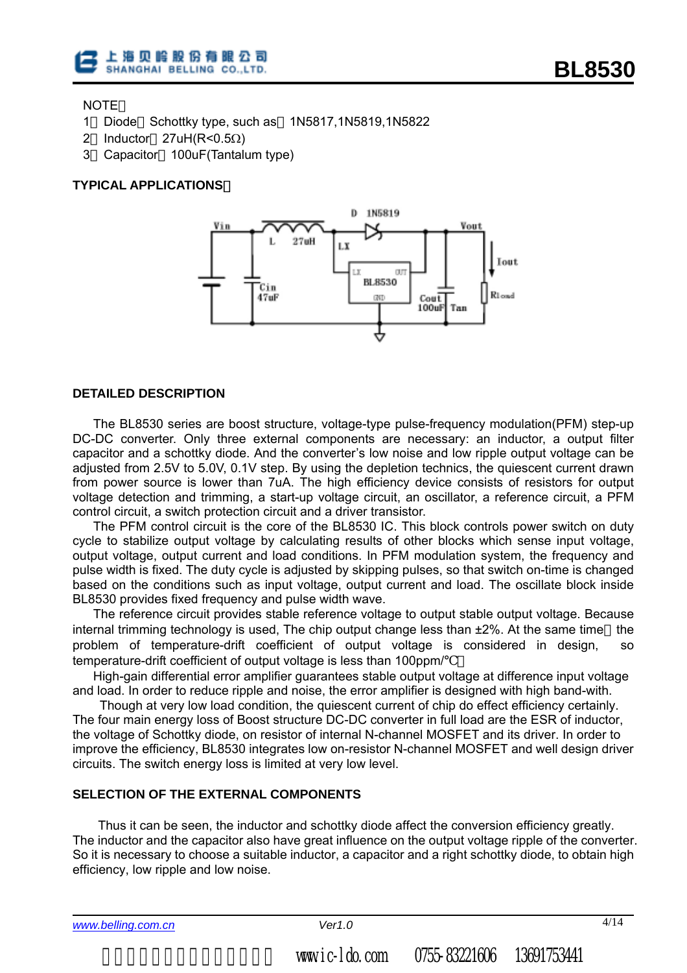

#### **NOTE**

- 1 Diode Schottky type, such as 1N5817,1N5819,1N5822
- 2 Inductor 27uH(R<0.5Ω)
- 3 Capacitor 100uF(Tantalum type)

#### **TYPICAL APPLICATIONS**:



#### **DETAILED DESCRIPTION**

The BL8530 series are boost structure, voltage-type pulse-frequency modulation(PFM) step-up DC-DC converter. Only three external components are necessary: an inductor, a output filter capacitor and a schottky diode. And the converter's low noise and low ripple output voltage can be adjusted from 2.5V to 5.0V, 0.1V step. By using the depletion technics, the quiescent current drawn from power source is lower than 7uA. The high efficiency device consists of resistors for output voltage detection and trimming, a start-up voltage circuit, an oscillator, a reference circuit, a PFM control circuit, a switch protection circuit and a driver transistor.

The PFM control circuit is the core of the BL8530 IC. This block controls power switch on duty cycle to stabilize output voltage by calculating results of other blocks which sense input voltage, output voltage, output current and load conditions. In PFM modulation system, the frequency and pulse width is fixed. The duty cycle is adjusted by skipping pulses, so that switch on-time is changed based on the conditions such as input voltage, output current and load. The oscillate block inside BL8530 provides fixed frequency and pulse width wave.

The reference circuit provides stable reference voltage to output stable output voltage. Because internal trimming technology is used, The chip output change less than ±2%. At the same time the problem of temperature-drift coefficient of output voltage is considered in design, so temperature-drift coefficient of output voltage is less than 100ppm/

High-gain differential error amplifier guarantees stable output voltage at difference input voltage and load. In order to reduce ripple and noise, the error amplifier is designed with high band-with.

 Though at very low load condition, the quiescent current of chip do effect efficiency certainly. The four main energy loss of Boost structure DC-DC converter in full load are the ESR of inductor, the voltage of Schottky diode, on resistor of internal N-channel MOSFET and its driver. In order to improve the efficiency, BL8530 integrates low on-resistor N-channel MOSFET and well design driver circuits. The switch energy loss is limited at very low level.

#### **SELECTION OF THE EXTERNAL COMPONENTS**

 Thus it can be seen, the inductor and schottky diode affect the conversion efficiency greatly. The inductor and the capacitor also have great influence on the output voltage ripple of the converter. So it is necessary to choose a suitable inductor, a capacitor and a right schottky diode, to obtain high efficiency, low ripple and low noise.

| www.belling.com.cn | Ver1.0 | 4/14 |
|--------------------|--------|------|
|--------------------|--------|------|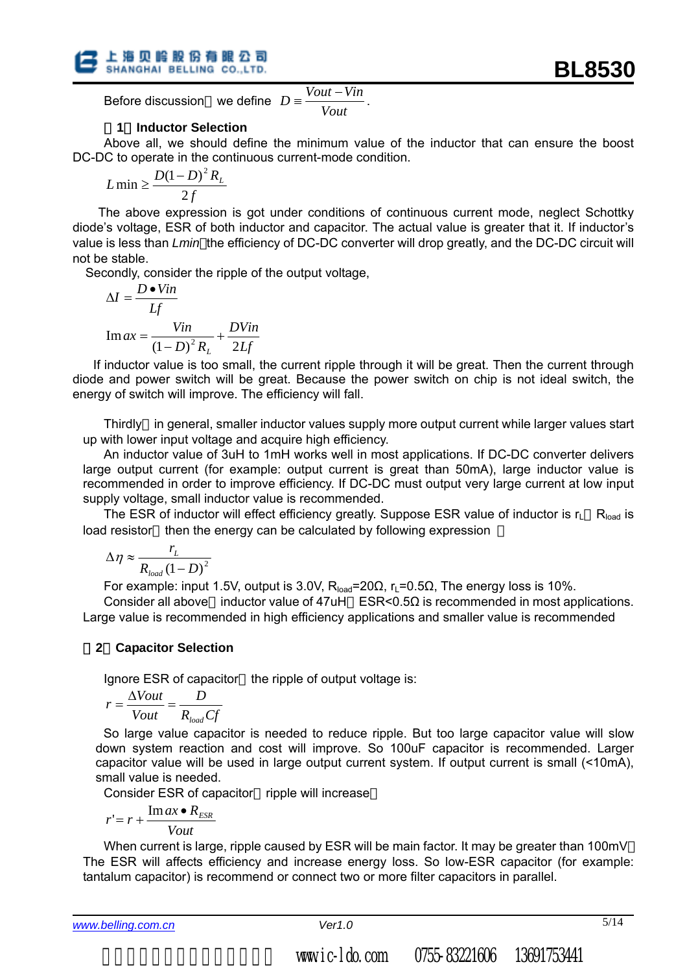Before discussion we define  $D \equiv \frac{1}{2}$ *Vout Vout* – *Vin* 

#### (**1**)**Inductor Selection**

Above all, we should define the minimum value of the inductor that can ensure the boost DC-DC to operate in the continuous current-mode condition.

$$
L \min \ge \frac{D(1-D)^2 R_L}{2f}
$$

 The above expression is got under conditions of continuous current mode, neglect Schottky diode's voltage, ESR of both inductor and capacitor. The actual value is greater that it. If inductor's value is less than *Lmin* the efficiency of DC-DC converter will drop greatly, and the DC-DC circuit will not be stable.

Secondly, consider the ripple of the output voltage,

$$
\Delta I = \frac{D \bullet Vin}{Lf}
$$
  
Im  $ax = \frac{Vin}{(1-D)^2 R_L} + \frac{DVin}{2Lf}$ 

If inductor value is too small, the current ripple through it will be great. Then the current through diode and power switch will be great. Because the power switch on chip is not ideal switch, the energy of switch will improve. The efficiency will fall.

Thirdly in general, smaller inductor values supply more output current while larger values start up with lower input voltage and acquire high efficiency.

An inductor value of 3uH to 1mH works well in most applications. If DC-DC converter delivers large output current (for example: output current is great than 50mA), large inductor value is recommended in order to improve efficiency. If DC-DC must output very large current at low input supply voltage, small inductor value is recommended.

The ESR of inductor will effect efficiency greatly. Suppose ESR value of inductor is  $r_1$  R<sub>load</sub> is load resistor then the energy can be calculated by following expression

$$
\Delta \eta \approx \frac{r_L}{R_{load} (1 - D)^2}
$$

For example: input 1.5V, output is 3.0V,  $R_{load} = 20\Omega$ ,  $r_L = 0.5\Omega$ , The energy loss is 10%.

Consider all above inductor value of  $47uH$  ESR<0.5 $\Omega$  is recommended in most applications. Large value is recommended in high efficiency applications and smaller value is recommended

#### (**2**)**Capacitor Selection**

Ignore ESR of capacitor the ripple of output voltage is:

$$
r = \frac{\Delta Vout}{Vout} = \frac{D}{R_{load}Cf}
$$

So large value capacitor is needed to reduce ripple. But too large capacitor value will slow down system reaction and cost will improve. So 100uF capacitor is recommended. Larger capacitor value will be used in large output current system. If output current is small (<10mA), small value is needed.

Consider ESR of capacitor ripple will increase

$$
r'=r+\frac{\text{Im}\,ax\bullet R_{ESR}}{Vout}
$$

When current is large, ripple caused by ESR will be main factor. It may be greater than 100mV The ESR will affects efficiency and increase energy loss. So low-ESR capacitor (for example: tantalum capacitor) is recommend or connect two or more filter capacitors in parallel.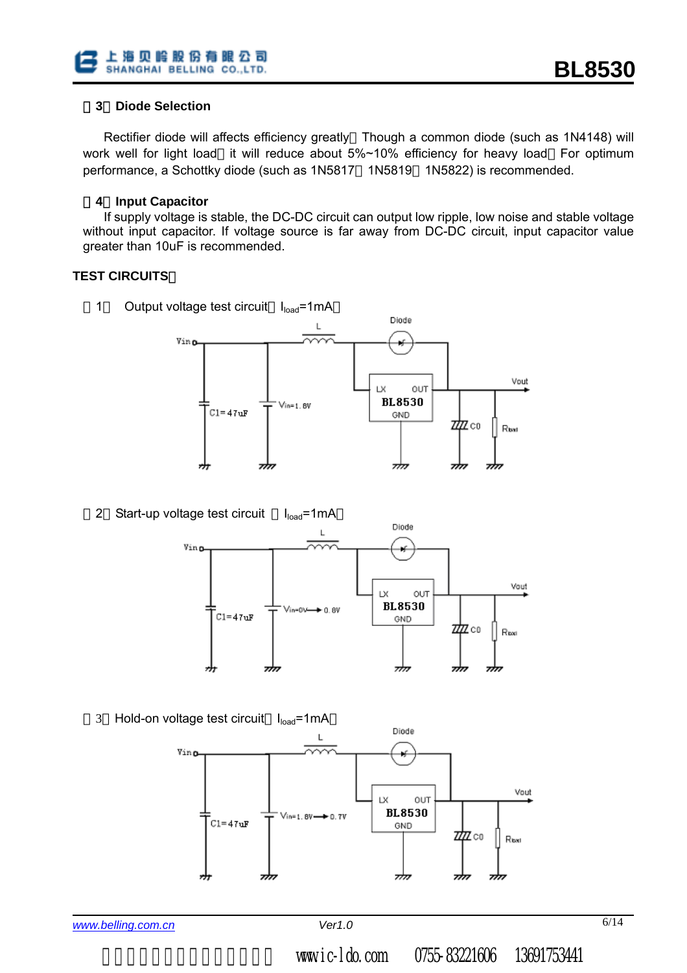#### (**3**)**Diode Selection**

Rectifier diode will affects efficiency greatly Though a common diode (such as 1N4148) will work well for light load it will reduce about 5%~10% efficiency for heavy load For optimum performance, a Schottky diode (such as 1N5817 1N5819 1N5822) is recommended.

#### (**4**)**Input Capacitor**

If supply voltage is stable, the DC-DC circuit can output low ripple, low noise and stable voltage without input capacitor. If voltage source is far away from DC-DC circuit, input capacitor value greater than 10uF is recommended.

## **TEST CIRCUITS**:

1 Output voltage test circuit  $I_{load}$ =1mA



2 Start-up voltage test circuit  $I_{load}$ =1mA



3 Hold-on voltage test circuit  $I_{load}$ =1mA

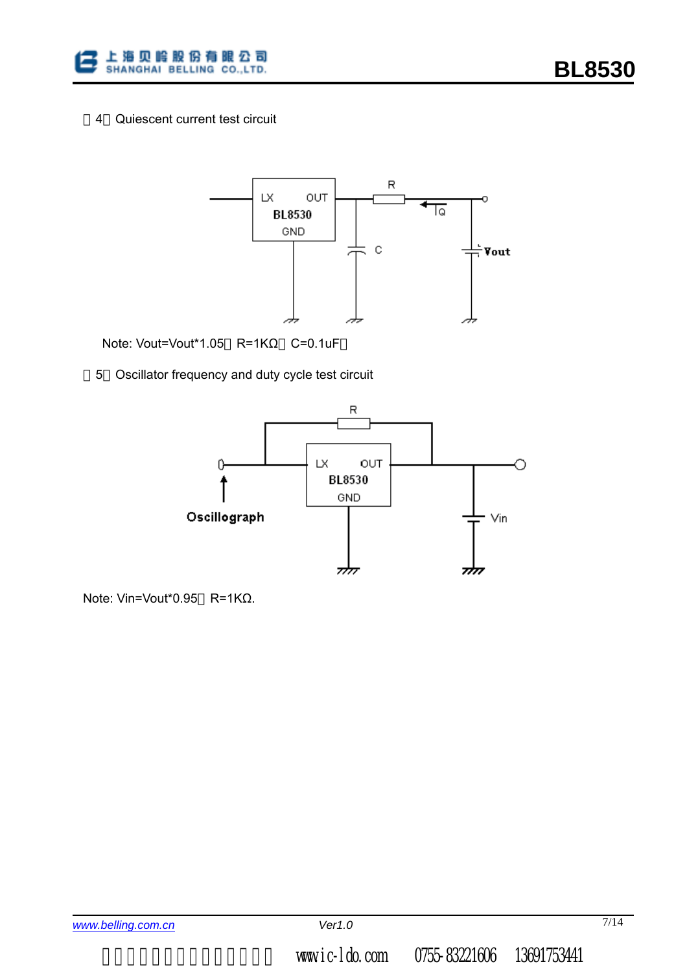



Note: Vout=Vout\*1.05 R=1KΩ C=0.1uF

5 Oscillator frequency and duty cycle test circuit



Note: Vin=Vout\*0.95 R=1KΩ.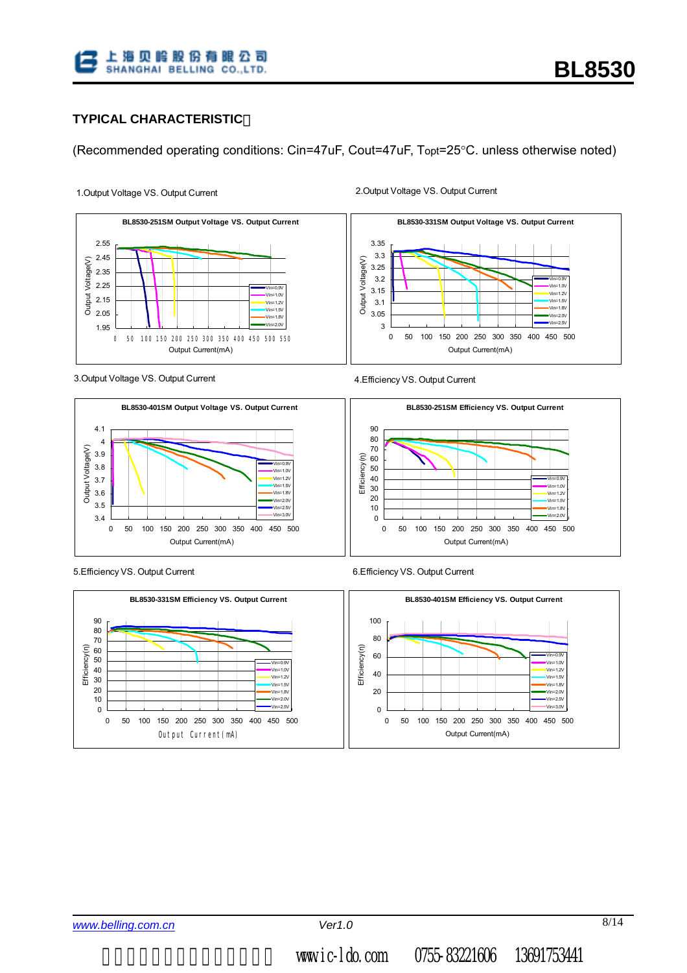## **TYPICAL CHARACTERISTIC**:

(Recommended operating conditions: Cin=47uF, Cout=47uF, Topt=25°C. unless otherwise noted)

1.Output Voltage VS. Output Current 2.Output Voltage VS. Output Current



#### 3.Output Voltage VS. Output Current















www.ic-ldo.com 0755-83221606 13691753441

Vin=0.9V  $V$ in=1.0  $V_{\text{in}}=1.2V$ Vin=1.5V Vin=1.8V  $V$ in=2.0  $An=2.5$ Vin=3.0V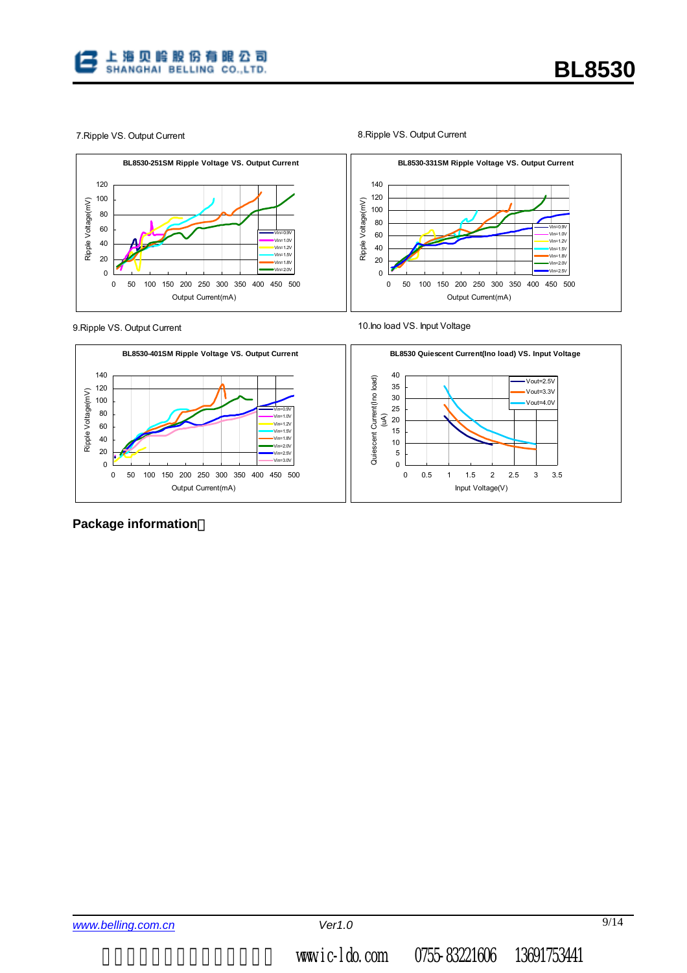

Vin=0.9V  $V$ in=1.0  $V$ in=1.2  $V$ in=1.5  $V$ in=1.8  $\ln=2.0$  $=2.5$ 

9.Ripple VS. Output Current



**BL8530-331SM Ripple Voltage VS. Output Current**

0 50 100 150 200 250 300 350 400 450 500 Output Current(mA)



#### 10.Ino load VS. Input Voltage

Ripple Voltage(mV)

Ripple Voltage(mV)



#### **Package information**: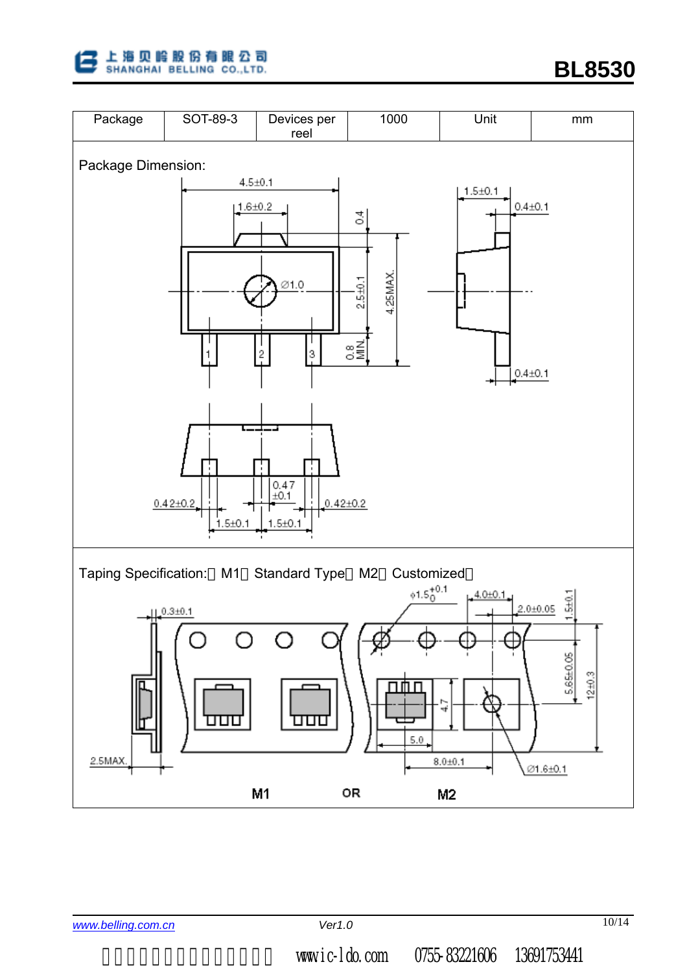

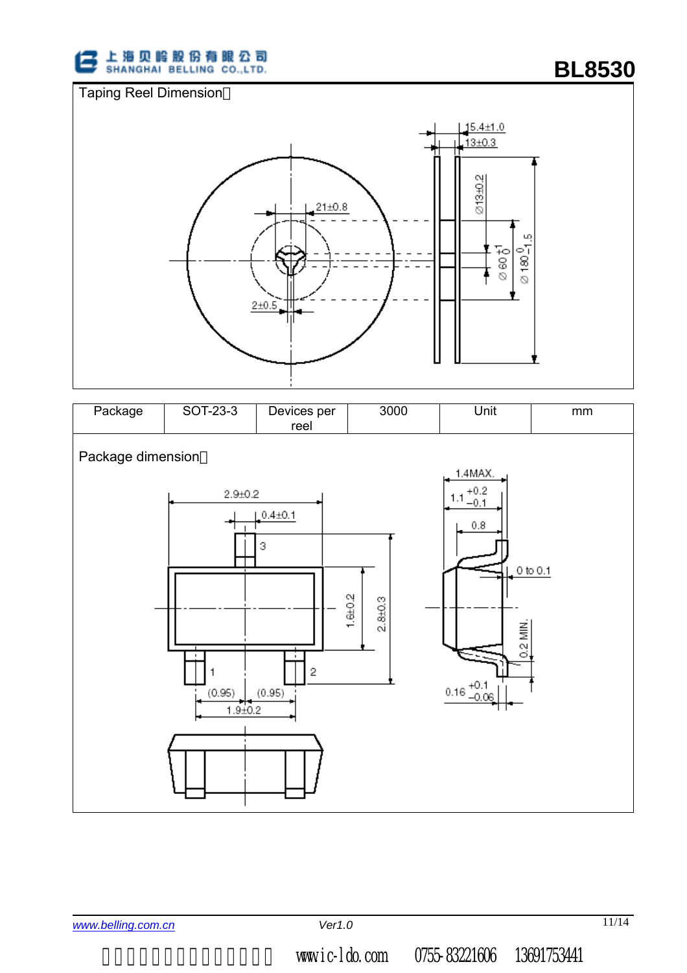

Taping Reel Dimension



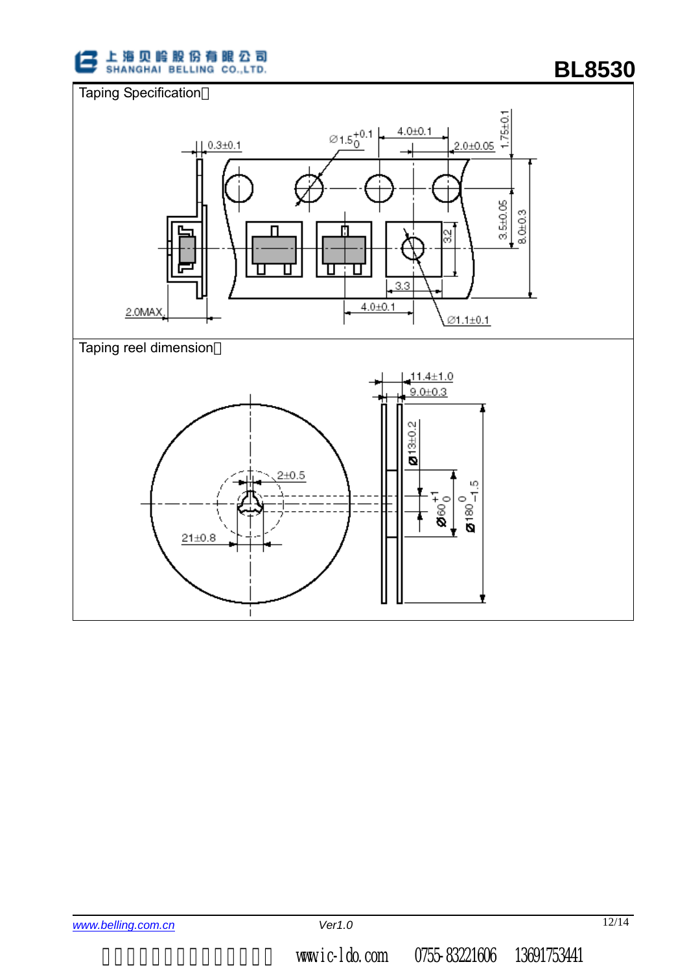

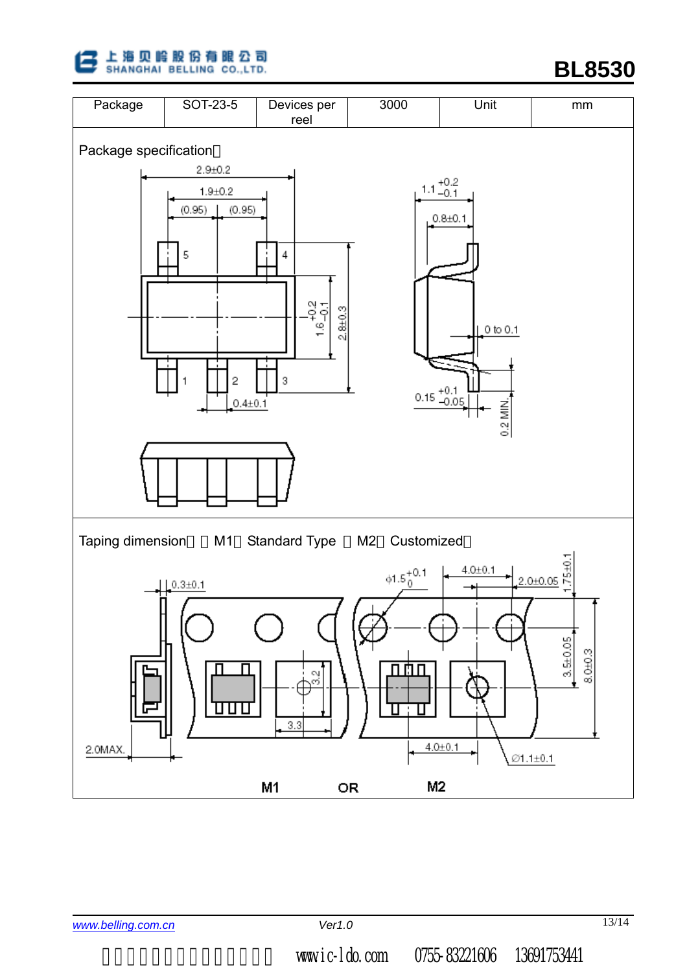